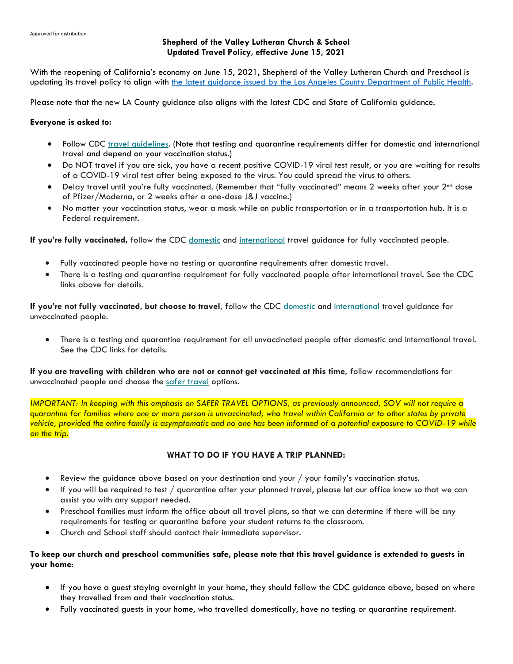### **Shepherd of the Valley Lutheran Church & School Updated Travel Policy, effective June 15, 2021**

With the reopening of California's economy on June 15, 2021, Shepherd of the Valley Lutheran Church and Preschool is updating its travel policy to align with [the latest guidance issued by the Los Angeles County Department of Public Health.](http://publichealth.lacounty.gov/media/Coronavirus/traveladvisory.htm)

Please note that the new LA County guidance also aligns with the latest CDC and State of California guidance.

### **Everyone is asked to:**

- Follow CDC [travel guidelines.](https://www.cdc.gov/coronavirus/2019-ncov/travelers/index.html) (Note that testing and quarantine requirements differ for domestic and international travel and depend on your vaccination status.)
- Do NOT travel if you are sick, you have a recent positive COVID-19 viral test result, or you are waiting for results of a COVID-19 viral test after being exposed to the virus. You could spread the virus to others.
- Delay travel until you're fully vaccinated. (Remember that "fully vaccinated" means 2 weeks after your 2<sup>nd</sup> dose of Pfizer/Moderna, or 2 weeks after a one-dose J&J vaccine.)
- No matter your vaccination status, wear a mask while on public transportation or in a transportation hub. It is a Federal requirement.

If you're fully vaccinated, follow the CDC [domestic](https://www.cdc.gov/coronavirus/2019-ncov/travelers/travel-during-covid19.html#unvaccinated-people) and [international](https://www.cdc.gov/coronavirus/2019-ncov/travelers/international-travel-during-covid19.html#unvaccinated-people) travel guidance for fully vaccinated people.

- Fully vaccinated people have no testing or quarantine requirements after domestic travel.
- There is a testing and quarantine requirement for fully vaccinated people after international travel. See the CDC links above for details.

**If you're not fully vaccinated, but choose to travel,** follow the CDC [domestic](https://www.cdc.gov/coronavirus/2019-ncov/travelers/travel-during-covid19.html#unvaccinated-people) and [international](https://www.cdc.gov/coronavirus/2019-ncov/travelers/international-travel-during-covid19.html#unvaccinated-people) travel guidance for unvaccinated people.

• There is a testing and quarantine requirement for all unvaccinated people after domestic and international travel. See the CDC links for details.

**If you are traveling with children who are not or cannot get vaccinated at this time,** follow recommendations for unvaccinated people and choose the [safer travel](https://www.cdc.gov/coronavirus/2019-ncov/travelers/travel-risk.html) options.

*IMPORTANT: In keeping with this emphasis on SAFER TRAVEL OPTIONS, as previously announced, SOV will not require a quarantine for families where one or more person is unvaccinated, who travel within California or to other states by private vehicle, provided the entire family is asymptomatic and no one has been informed of a potential exposure to COVID-19 while on the trip.*

# **WHAT TO DO IF YOU HAVE A TRIP PLANNED:**

- Review the guidance above based on your destination and your  $/$  your family's vaccination status.
- If you will be required to test / quarantine after your planned travel, please let our office know so that we can assist you with any support needed.
- Preschool families must inform the office about all travel plans, so that we can determine if there will be any requirements for testing or quarantine before your student returns to the classroom.
- Church and School staff should contact their immediate supervisor.

# **To keep our church and preschool communities safe, please note that this travel guidance is extended to guests in your home**:

- If you have a guest staying overnight in your home, they should follow the CDC guidance above, based on where they travelled from and their vaccination status.
- Fully vaccinated guests in your home, who travelled domestically, have no testing or quarantine requirement.